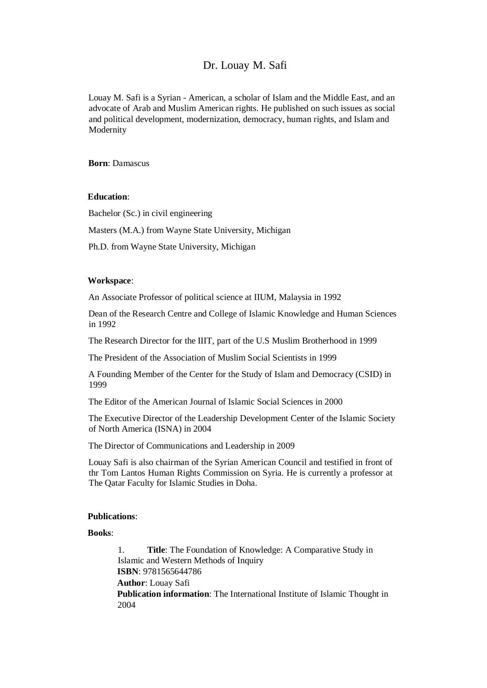## Dr. Louay M. Safi

Louay M. Safi is a Syrian - American, a scholar of Islam and the Middle East, and an advocate of Arab and Muslim American rights. He published on such issues as social and political development, modernization, democracy, human rights, and Islam and Modernity

**Born**: Damascus

## **Education**:

Bachelor (Sc.) in civil engineering

Masters (M.A.) from Wayne State University, Michigan

Ph.D. from Wayne State University, Michigan

## **Workspace**:

An Associate Professor of political science at IIUM, Malaysia in 1992

Dean of the Research Centre and College of Islamic Knowledge and Human Sciences in 1992

The Research Director for the IIIT, part of the U.S Muslim Brotherhood in 1999

The President of the Association of Muslim Social Scientists in 1999

A Founding Member of the Center for the Study of Islam and Democracy (CSID) in 1999

The Editor of the American Journal of Islamic Social Sciences in 2000

The Executive Director of the Leadership Development Center of the Islamic Society of North America (ISNA) in 2004

The Director of Communications and Leadership in 2009

Louay Safi is also chairman of the Syrian American Council and testified in front of thr Tom Lantos Human Rights Commission on Syria. He is currently a professor at The Qatar Faculty for Islamic Studies in Doha.

## **Publications**:

**Books**:

1. **Title**: The Foundation of Knowledge: A Comparative Study in Islamic and Western Methods of Inquiry **ISBN**: 9781565644786 **Author**: Louay Safi **Publication information**: The International Institute of Islamic Thought in 2004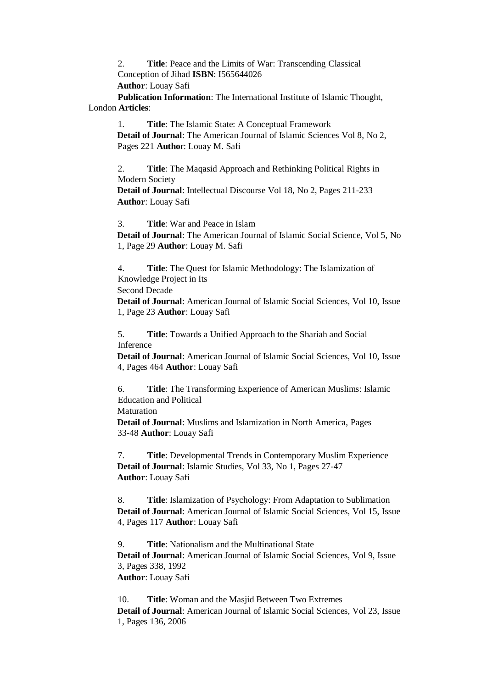2. **Title**: Peace and the Limits of War: Transcending Classical Conception of Jihad **ISBN**: I565644026

**Author**: Louay Safi

**Publication Information**: The International Institute of Islamic Thought, London **Articles**:

1. **Title**: The Islamic State: A Conceptual Framework **Detail of Journal**: The American Journal of Islamic Sciences Vol 8, No 2, Pages 221 **Autho**r: Louay M. Safi

2. **Title**: The Maqasid Approach and Rethinking Political Rights in Modern Society

**Detail of Journal**: Intellectual Discourse Vol 18, No 2, Pages 211-233 **Author**: Louay Safi

3. **Title**: War and Peace in Islam

**Detail of Journal**: The American Journal of Islamic Social Science, Vol 5, No 1, Page 29 **Author**: Louay M. Safi

4. **Title**: The Quest for Islamic Methodology: The Islamization of Knowledge Project in Its

Second Decade

**Detail of Journal**: American Journal of Islamic Social Sciences, Vol 10, Issue 1, Page 23 **Author**: Louay Safi

5. **Title**: Towards a Unified Approach to the Shariah and Social Inference

**Detail of Journal**: American Journal of Islamic Social Sciences, Vol 10, Issue 4, Pages 464 **Author**: Louay Safi

6. **Title**: The Transforming Experience of American Muslims: Islamic Education and Political

Maturation

**Detail of Journal**: Muslims and Islamization in North America, Pages 33-48 **Author**: Louay Safi

7. **Title**: Developmental Trends in Contemporary Muslim Experience **Detail of Journal**: Islamic Studies, Vol 33, No 1, Pages 27-47 **Author**: Louay Safi

8. **Title**: Islamization of Psychology: From Adaptation to Sublimation **Detail of Journal**: American Journal of Islamic Social Sciences, Vol 15, Issue 4, Pages 117 **Author**: Louay Safi

9. **Title**: Nationalism and the Multinational State **Detail of Journal**: American Journal of Islamic Social Sciences, Vol 9, Issue 3, Pages 338, 1992 **Author**: Louay Safi

10. **Title**: Woman and the Masjid Between Two Extremes **Detail of Journal**: American Journal of Islamic Social Sciences, Vol 23, Issue 1, Pages 136, 2006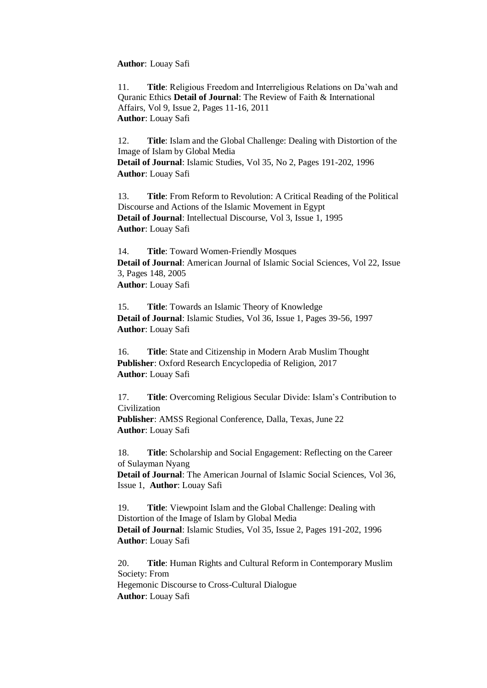**Author**: Louay Safi

11. **Title**: Religious Freedom and Interreligious Relations on Da'wah and Quranic Ethics **Detail of Journal**: The Review of Faith & International Affairs, Vol 9, Issue 2, Pages 11-16, 2011 **Author**: Louay Safi

12. **Title**: Islam and the Global Challenge: Dealing with Distortion of the Image of Islam by Global Media **Detail of Journal**: Islamic Studies, Vol 35, No 2, Pages 191-202, 1996 **Author**: Louay Safi

13. **Title**: From Reform to Revolution: A Critical Reading of the Political Discourse and Actions of the Islamic Movement in Egypt **Detail of Journal**: Intellectual Discourse, Vol 3, Issue 1, 1995 **Author**: Louay Safi

14. **Title**: Toward Women-Friendly Mosques **Detail of Journal**: American Journal of Islamic Social Sciences, Vol 22, Issue 3, Pages 148, 2005 **Author**: Louay Safi

15. **Title**: Towards an Islamic Theory of Knowledge **Detail of Journal**: Islamic Studies, Vol 36, Issue 1, Pages 39-56, 1997 **Author**: Louay Safi

16. **Title**: State and Citizenship in Modern Arab Muslim Thought **Publisher**: Oxford Research Encyclopedia of Religion, 2017 **Author**: Louay Safi

17. **Title**: Overcoming Religious Secular Divide: Islam's Contribution to Civilization **Publisher**: AMSS Regional Conference, Dalla, Texas, June 22

**Author**: Louay Safi

18. **Title**: Scholarship and Social Engagement: Reflecting on the Career of Sulayman Nyang

**Detail of Journal**: The American Journal of Islamic Social Sciences, Vol 36, Issue 1, **Author**: Louay Safi

19. **Title**: Viewpoint Islam and the Global Challenge: Dealing with Distortion of the Image of Islam by Global Media **Detail of Journal**: Islamic Studies, Vol 35, Issue 2, Pages 191-202, 1996 **Author**: Louay Safi

20. **Title**: Human Rights and Cultural Reform in Contemporary Muslim Society: From Hegemonic Discourse to Cross-Cultural Dialogue **Author**: Louay Safi